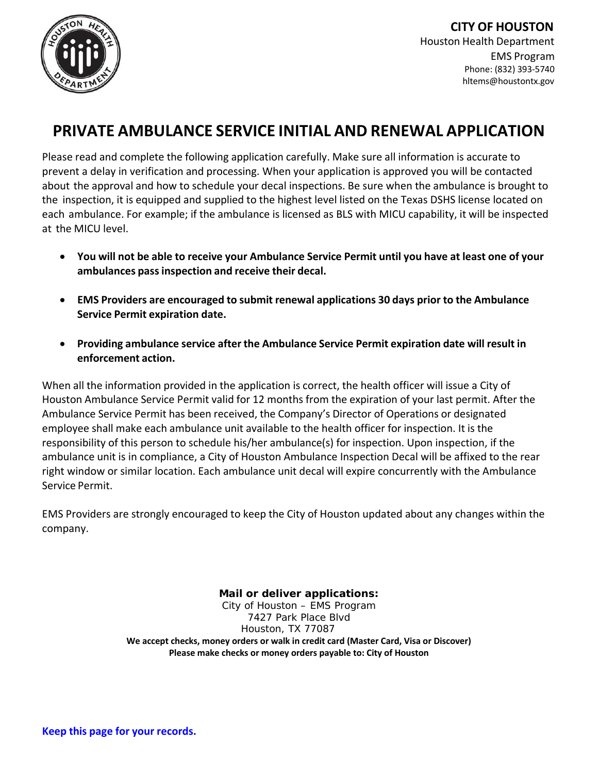

### **PRIVATE AMBULANCE SERVICE INITIAL AND RENEWAL APPLICATION**

Please read and complete the following application carefully. Make sure all information is accurate to prevent a delay in verification and processing. When your application is approved you will be contacted about the approval and how to schedule your decal inspections. Be sure when the ambulance is brought to the inspection, it is equipped and supplied to the highest level listed on the Texas DSHS license located on each ambulance. For example; if the ambulance is licensed as BLS with MICU capability, it will be inspected at the MICU level.

- You will not be able to receive your Ambulance Service Permit until you have at least one of your **ambulances passinspection and receive their decal.**
- **EMS Providers are encouraged to submit renewal applications 30 days prior to the Ambulance Service Permit expiration date.**
- **Providing ambulance service after the Ambulance Service Permit expiration date will result in enforcement action.**

When all the information provided in the application is correct, the health officer will issue a City of Houston Ambulance Service Permit valid for 12 months from the expiration of your last permit. After the Ambulance Service Permit has been received, the Company's Director of Operations or designated employee shall make each ambulance unit available to the health officer for inspection. It is the responsibility of this person to schedule his/her ambulance(s) for inspection. Upon inspection, if the ambulance unit is in compliance, a City of Houston Ambulance Inspection Decal will be affixed to the rear right window or similar location. Each ambulance unit decal will expire concurrently with the Ambulance Service Permit.

EMS Providers are strongly encouraged to keep the City of Houston updated about any changes within the company.

> **Mail or deliver applications:**  City of Houston – EMS Program 7427 Park Place Blvd Houston, TX 77087 **We accept checks, money orders or walk in credit card (Master Card, Visa or Discover) Please make checks or money orders payable to: City of Houston**

**Keep this page for your records.**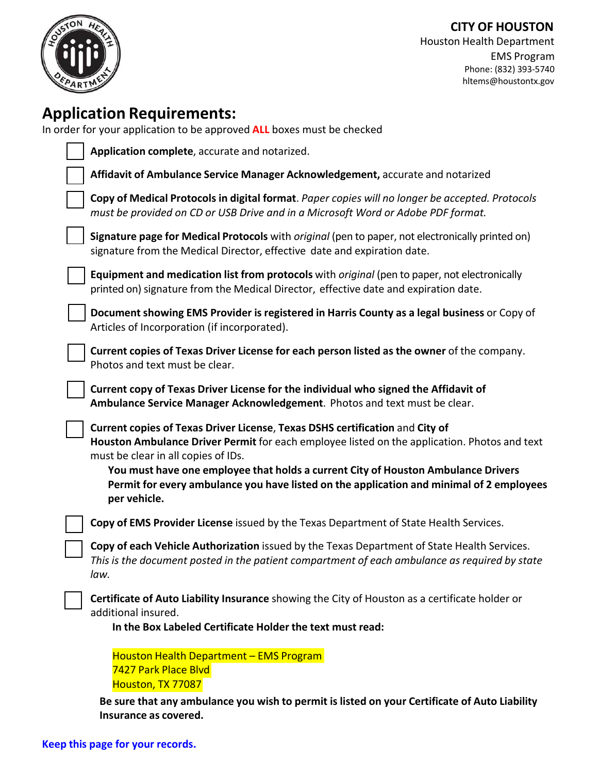

## **Application Requirements:**

In order for your application to be approved **ALL** boxes must be checked

| Application complete, accurate and notarized.                                                                                                                                                                                                                                                                                                                                                                        |
|----------------------------------------------------------------------------------------------------------------------------------------------------------------------------------------------------------------------------------------------------------------------------------------------------------------------------------------------------------------------------------------------------------------------|
| Affidavit of Ambulance Service Manager Acknowledgement, accurate and notarized                                                                                                                                                                                                                                                                                                                                       |
| Copy of Medical Protocols in digital format. Paper copies will no longer be accepted. Protocols<br>must be provided on CD or USB Drive and in a Microsoft Word or Adobe PDF format.                                                                                                                                                                                                                                  |
| Signature page for Medical Protocols with original (pen to paper, not electronically printed on)<br>signature from the Medical Director, effective date and expiration date.                                                                                                                                                                                                                                         |
| Equipment and medication list from protocols with <i>original</i> (pen to paper, not electronically<br>printed on) signature from the Medical Director, effective date and expiration date.                                                                                                                                                                                                                          |
| Document showing EMS Provider is registered in Harris County as a legal business or Copy of<br>Articles of Incorporation (if incorporated).                                                                                                                                                                                                                                                                          |
| Current copies of Texas Driver License for each person listed as the owner of the company.<br>Photos and text must be clear.                                                                                                                                                                                                                                                                                         |
| Current copy of Texas Driver License for the individual who signed the Affidavit of<br>Ambulance Service Manager Acknowledgement. Photos and text must be clear.                                                                                                                                                                                                                                                     |
| Current copies of Texas Driver License, Texas DSHS certification and City of<br>Houston Ambulance Driver Permit for each employee listed on the application. Photos and text<br>must be clear in all copies of IDs.<br>You must have one employee that holds a current City of Houston Ambulance Drivers<br>Permit for every ambulance you have listed on the application and minimal of 2 employees<br>per vehicle. |
| Copy of EMS Provider License issued by the Texas Department of State Health Services.                                                                                                                                                                                                                                                                                                                                |
| Copy of each Vehicle Authorization issued by the Texas Department of State Health Services.<br>This is the document posted in the patient compartment of each ambulance as required by state<br>law.                                                                                                                                                                                                                 |
| Certificate of Auto Liability Insurance showing the City of Houston as a certificate holder or<br>additional insured.<br>In the Box Labeled Certificate Holder the text must read:                                                                                                                                                                                                                                   |
| Houston Health Department - EMS Program<br>7427 Park Place Blvd<br>Houston, TX 77087                                                                                                                                                                                                                                                                                                                                 |

**Be sure that any ambulance you wish to permit is listed on your Certificate of Auto Liability Insurance as covered.**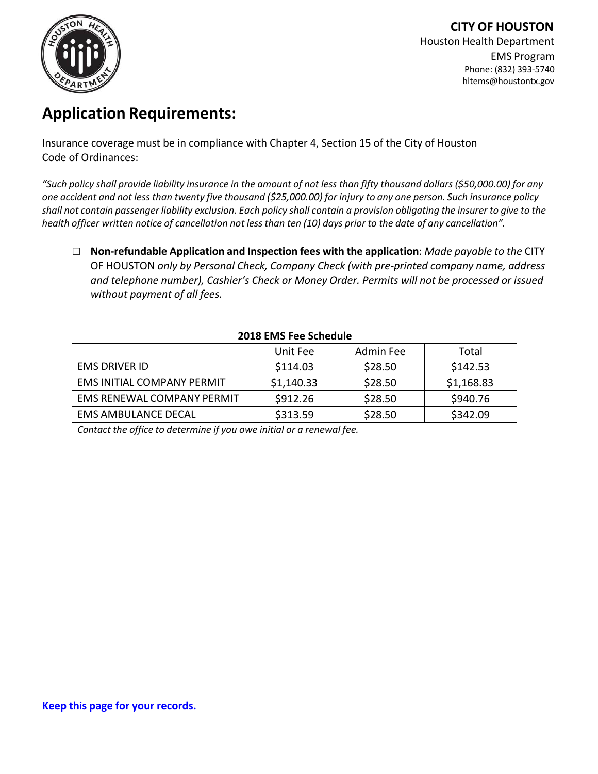

# **Application Requirements:**

Insurance coverage must be in compliance with Chapter 4, Section 15 of the City of Houston Code of Ordinances:

"Such policy shall provide liability insurance in the amount of not less than fifty thousand dollars (\$50,000.00) for any one accident and not less than twenty five thousand (\$25,000.00) for injury to any one person. Such insurance policy shall not contain passenger liability exclusion. Each policy shall contain a provision obligating the insurer to give to the health officer written notice of cancellation not less than ten (10) days prior to the date of any cancellation".

**□ Non‐refundable Application and Inspection fees with the application**: *Made payable to the* CITY OF HOUSTON *only by Personal Check, Company Check (with pre‐printed company name, address and telephone number), Cashier's Check or Money Order. Permits will not be processed or issued without payment of all fees.*

| 2018 EMS Fee Schedule             |            |           |            |  |
|-----------------------------------|------------|-----------|------------|--|
|                                   | Unit Fee   | Admin Fee | Total      |  |
| <b>EMS DRIVER ID</b>              | \$114.03   | \$28.50   | \$142.53   |  |
| EMS INITIAL COMPANY PERMIT        | \$1,140.33 | \$28.50   | \$1,168.83 |  |
| <b>EMS RENEWAL COMPANY PERMIT</b> | \$912.26   | \$28.50   | \$940.76   |  |
| <b>EMS AMBULANCE DECAL</b>        | \$313.59   | \$28.50   | \$342.09   |  |

*Contact the office to determine if you owe initial or a renewal fee.*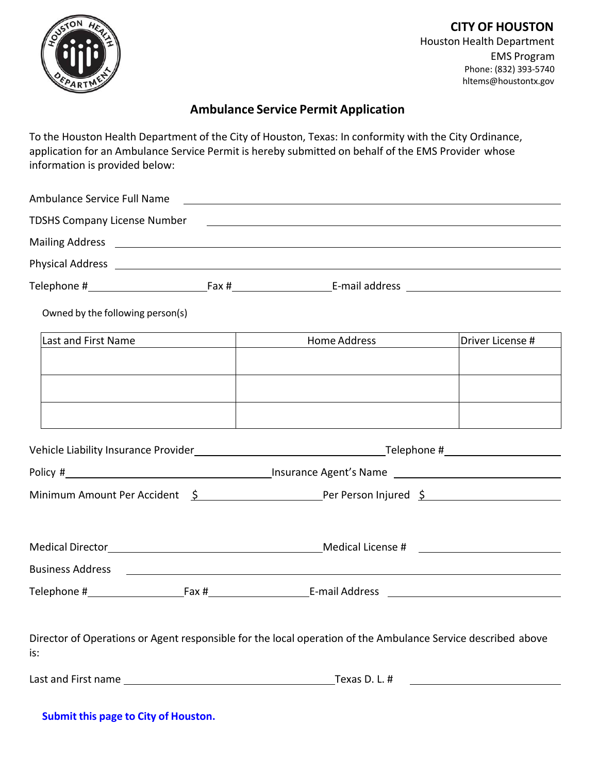

### **Ambulance Service Permit Application**

To the Houston Health Department of the City of Houston, Texas: In conformity with the City Ordinance, application for an Ambulance Service Permit is hereby submitted on behalf of the EMS Provider whose information is provided below:

| Ambulance Service Full Name                                                                                         |  | <u> 1980 - Andrea Brand, amerikansk politik (d. 1980)</u>                                                              |                               |  |  |
|---------------------------------------------------------------------------------------------------------------------|--|------------------------------------------------------------------------------------------------------------------------|-------------------------------|--|--|
| <b>TDSHS Company License Number</b>                                                                                 |  | <u> 1989 - Andrea Barbara, amerikana amerikana amerikana amerikana amerikana amerikana amerikana amerikana amerika</u> |                               |  |  |
|                                                                                                                     |  |                                                                                                                        |                               |  |  |
|                                                                                                                     |  |                                                                                                                        |                               |  |  |
|                                                                                                                     |  |                                                                                                                        |                               |  |  |
| Owned by the following person(s)                                                                                    |  |                                                                                                                        |                               |  |  |
| Last and First Name                                                                                                 |  | Home Address and the Manuson of the Manuson of the Manuson of the Manuson of the Manuson of the Manuson of the Ma      | Driver License #              |  |  |
|                                                                                                                     |  |                                                                                                                        |                               |  |  |
|                                                                                                                     |  |                                                                                                                        |                               |  |  |
|                                                                                                                     |  |                                                                                                                        |                               |  |  |
|                                                                                                                     |  |                                                                                                                        |                               |  |  |
|                                                                                                                     |  |                                                                                                                        |                               |  |  |
|                                                                                                                     |  |                                                                                                                        |                               |  |  |
| Minimum Amount Per Accident $\frac{5}{2}$ Per Person Injured $\frac{5}{2}$                                          |  |                                                                                                                        |                               |  |  |
|                                                                                                                     |  |                                                                                                                        |                               |  |  |
|                                                                                                                     |  |                                                                                                                        |                               |  |  |
|                                                                                                                     |  |                                                                                                                        |                               |  |  |
|                                                                                                                     |  |                                                                                                                        |                               |  |  |
|                                                                                                                     |  |                                                                                                                        |                               |  |  |
|                                                                                                                     |  |                                                                                                                        |                               |  |  |
| Director of Operations or Agent responsible for the local operation of the Ambulance Service described above<br>is: |  |                                                                                                                        |                               |  |  |
|                                                                                                                     |  |                                                                                                                        | Texas D. L. # $\qquad \qquad$ |  |  |
|                                                                                                                     |  |                                                                                                                        |                               |  |  |

**Submit this page to City of Houston.**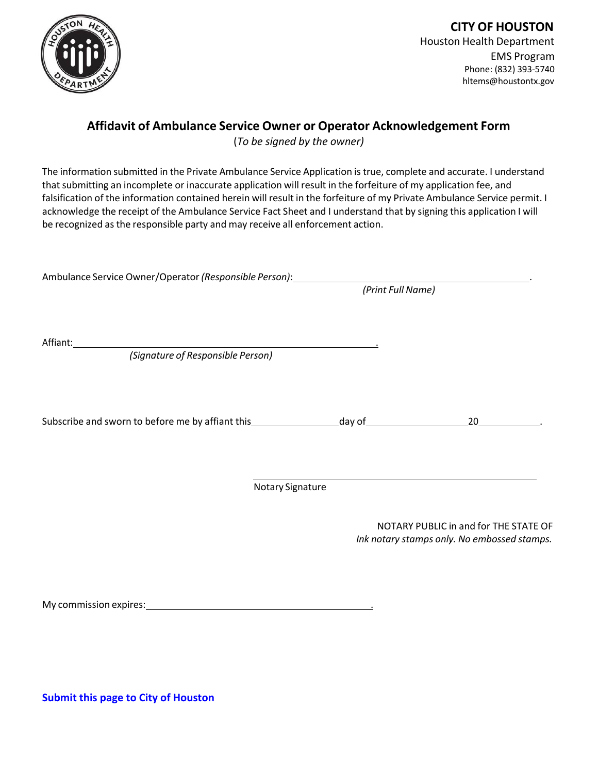

### **Affidavit of Ambulance Service Owner or Operator Acknowledgement Form**

(*To be signed by the owner)*

The information submitted in the Private Ambulance Service Application is true, complete and accurate. I understand that submitting an incomplete or inaccurate application will result in the forfeiture of my application fee, and falsification of the information contained herein will result in the forfeiture of my Private Ambulance Service permit. I acknowledge the receipt of the Ambulance Service Fact Sheet and I understand that by signing this application I will be recognized as the responsible party and may receive all enforcement action.

| Ambulance Service Owner/Operator (Responsible Person):                          |                   |                                             |
|---------------------------------------------------------------------------------|-------------------|---------------------------------------------|
|                                                                                 | (Print Full Name) |                                             |
|                                                                                 |                   |                                             |
| Affiant:<br><u> 1980 - Johann John Stein, fransk politik (d. 1980)</u>          |                   |                                             |
| (Signature of Responsible Person)                                               |                   |                                             |
|                                                                                 |                   |                                             |
|                                                                                 |                   |                                             |
| Subscribe and sworn to before me by affiant this_________________________day of |                   | 20                                          |
|                                                                                 |                   |                                             |
|                                                                                 |                   |                                             |
|                                                                                 | Notary Signature  |                                             |
|                                                                                 |                   |                                             |
|                                                                                 |                   | NOTARY PUBLIC in and for THE STATE OF       |
|                                                                                 |                   | Ink notary stamps only. No embossed stamps. |

My commission expires: .

**Submit this page to City of Houston**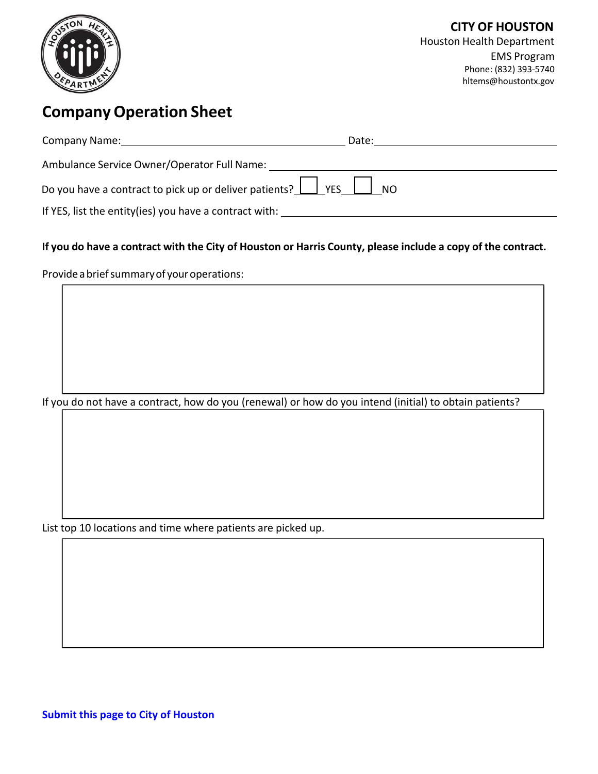

# **CompanyOperation Sheet**

| <b>Company Name:</b>                                                                                                    | Date: |
|-------------------------------------------------------------------------------------------------------------------------|-------|
| Ambulance Service Owner/Operator Full Name:                                                                             |       |
| Do you have a contract to pick up or deliver patients? $\boxed{\phantom{a}}$ YES $\phantom{a}\phantom{a}\phantom{a}$ NO |       |
| If YES, list the entity (ies) you have a contract with:                                                                 |       |

#### If you do have a contract with the City of Houston or Harris County, please include a copy of the contract.

Provide a brief summary of your operations:

If you do not have a contract, how do you (renewal) or how do you intend (initial) to obtain patients?

List top 10 locations and time where patients are picked up.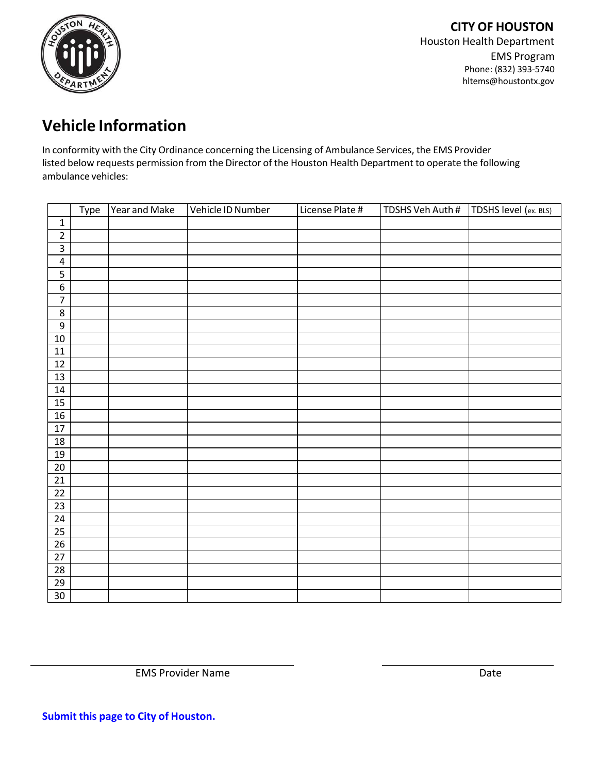

# **Vehicle Information**

In conformity with the City Ordinance concerning the Licensing of Ambulance Services, the EMS Provider listed below requests permission from the Director of the Houston Health Department to operate the following ambulance vehicles:

|                 | Type | Year and Make | Vehicle ID Number | License Plate # | TDSHS Veh Auth # | TDSHS level (ex. BLS) |
|-----------------|------|---------------|-------------------|-----------------|------------------|-----------------------|
| $\mathbf 1$     |      |               |                   |                 |                  |                       |
| $\frac{2}{3}$   |      |               |                   |                 |                  |                       |
|                 |      |               |                   |                 |                  |                       |
| $\overline{4}$  |      |               |                   |                 |                  |                       |
| $\frac{5}{6}$   |      |               |                   |                 |                  |                       |
|                 |      |               |                   |                 |                  |                       |
| $\overline{7}$  |      |               |                   |                 |                  |                       |
| $\overline{8}$  |      |               |                   |                 |                  |                       |
| $\overline{9}$  |      |               |                   |                 |                  |                       |
| $10\,$          |      |               |                   |                 |                  |                       |
| $11\,$          |      |               |                   |                 |                  |                       |
| 12              |      |               |                   |                 |                  |                       |
| 13              |      |               |                   |                 |                  |                       |
| $14\,$          |      |               |                   |                 |                  |                       |
| 15              |      |               |                   |                 |                  |                       |
| 16              |      |               |                   |                 |                  |                       |
| $\overline{17}$ |      |               |                   |                 |                  |                       |
| $18\,$          |      |               |                   |                 |                  |                       |
| 19              |      |               |                   |                 |                  |                       |
| $20\,$          |      |               |                   |                 |                  |                       |
| 21              |      |               |                   |                 |                  |                       |
| $\overline{22}$ |      |               |                   |                 |                  |                       |
| $\overline{23}$ |      |               |                   |                 |                  |                       |
| $\overline{24}$ |      |               |                   |                 |                  |                       |
| 25              |      |               |                   |                 |                  |                       |
| 26              |      |               |                   |                 |                  |                       |
| $\overline{27}$ |      |               |                   |                 |                  |                       |
| $\overline{28}$ |      |               |                   |                 |                  |                       |
| 29              |      |               |                   |                 |                  |                       |
| 30              |      |               |                   |                 |                  |                       |

EMS Provider Name Date

**Submit this page to City of Houston.**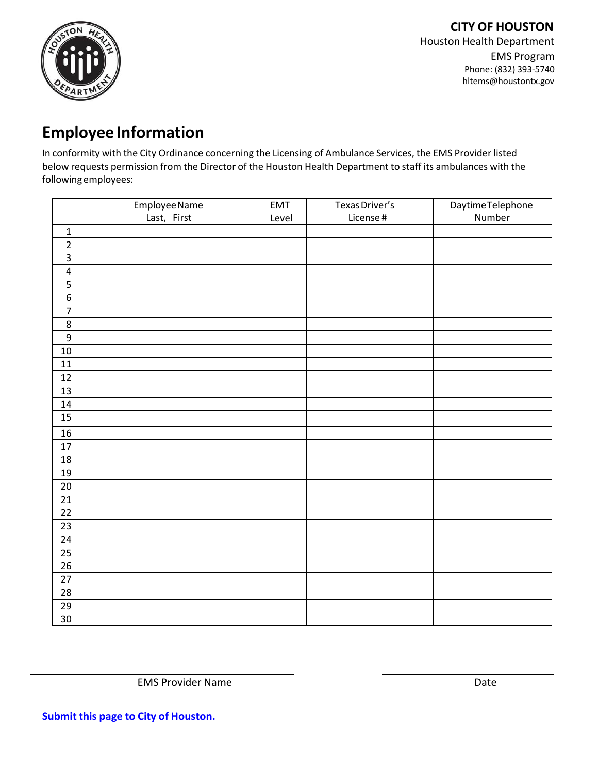

## **Employee Information**

In conformity with the City Ordinance concerning the Licensing of Ambulance Services, the EMS Provider listed below requests permission from the Director of the Houston Health Department to staff its ambulances with the following employees:

|                 | Employee Name | EMT   | Texas Driver's | Daytime Telephone |
|-----------------|---------------|-------|----------------|-------------------|
|                 | Last, First   | Level | License#       | Number            |
| $\mathbf 1$     |               |       |                |                   |
| $\overline{2}$  |               |       |                |                   |
| $\overline{3}$  |               |       |                |                   |
| $\pmb{4}$       |               |       |                |                   |
|                 |               |       |                |                   |
| $\sqrt{6}$      |               |       |                |                   |
| $\overline{7}$  |               |       |                |                   |
| $\overline{8}$  |               |       |                |                   |
| $\overline{9}$  |               |       |                |                   |
| $10\,$          |               |       |                |                   |
| 11              |               |       |                |                   |
| 12              |               |       |                |                   |
| 13              |               |       |                |                   |
| 14              |               |       |                |                   |
| 15              |               |       |                |                   |
| $16\,$          |               |       |                |                   |
| $17\,$          |               |       |                |                   |
| 18              |               |       |                |                   |
| $19$            |               |       |                |                   |
| $20\,$          |               |       |                |                   |
| $\overline{21}$ |               |       |                |                   |
| $\overline{22}$ |               |       |                |                   |
| 23              |               |       |                |                   |
| 24              |               |       |                |                   |
| 25              |               |       |                |                   |
| 26              |               |       |                |                   |
| $27\,$          |               |       |                |                   |
| 28              |               |       |                |                   |
| 29              |               |       |                |                   |
| 30              |               |       |                |                   |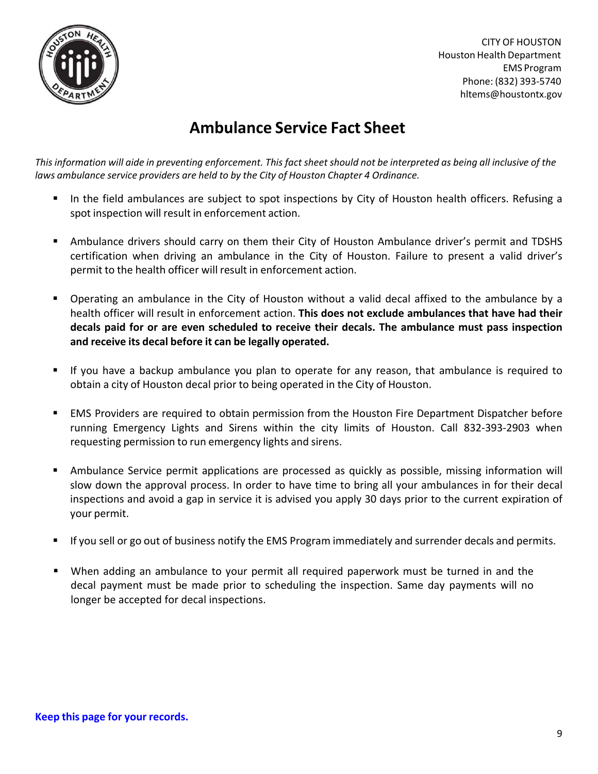

## **Ambulance Service Fact Sheet**

This information will aide in preventing enforcement. This fact sheet should not be interpreted as being all inclusive of the *laws ambulance service providers are held to by the City of Houston Chapter 4 Ordinance.*

- In the field ambulances are subject to spot inspections by City of Houston health officers. Refusing a spot inspection will result in enforcement action.
- Ambulance drivers should carry on them their City of Houston Ambulance driver's permit and TDSHS certification when driving an ambulance in the City of Houston. Failure to present a valid driver's permit to the health officer will result in enforcement action.
- Operating an ambulance in the City of Houston without a valid decal affixed to the ambulance by a health officer will result in enforcement action. **This does not exclude ambulances that have had their decals paid for or are even scheduled to receive their decals. The ambulance must pass inspection and receive its decal before it can be legally operated.**
- If you have a backup ambulance you plan to operate for any reason, that ambulance is required to obtain a city of Houston decal prior to being operated in the City of Houston.
- EMS Providers are required to obtain permission from the Houston Fire Department Dispatcher before running Emergency Lights and Sirens within the city limits of Houston. Call 832‐393‐2903 when requesting permission to run emergency lights and sirens.
- Ambulance Service permit applications are processed as quickly as possible, missing information will slow down the approval process. In order to have time to bring all your ambulances in for their decal inspections and avoid a gap in service it is advised you apply 30 days prior to the current expiration of your permit.
- If you sell or go out of business notify the EMS Program immediately and surrender decals and permits.
- When adding an ambulance to your permit all required paperwork must be turned in and the decal payment must be made prior to scheduling the inspection. Same day payments will no longer be accepted for decal inspections.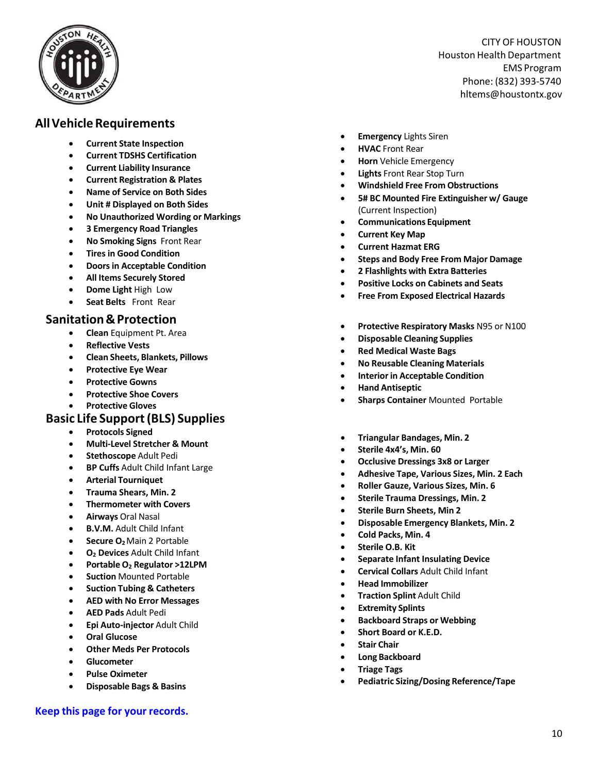

### **AllVehicleRequirements**

- **Current State Inspectio n**
- **Current TDSHS Certification**
- **Current Liability Insurance**
- **Current Registration & Plates**
- **Name of Service on Both Sides**
- **Unit # Displayed on Both Sides**
- **No Unauthorized Wording or Markings**
- **3 Emergency Road Triangles**
- **No Smoking Signs** Front Rear
- **Tires in Good Condition**
- **Doors in Acceptable Condition**
- **All Items Securely Stored**
- **Dome Light** High Low
- **Seat Belts**  Front Rear

### **Sanitation &Protection**

- **Clean** Equipment Pt. Area
- **Reflective Vests**
- **Clean Sheets, Blankets, Pillows**
- **Protective Eye Wear**
- **Protective Gowns**
- **Protective Shoe Covers**
- **Protective Gloves**

#### **Basic Life Support(BLS) Supplies**

- **Protocols Signed**
- **Multi‐Level Stretcher & Mount**
- **Stethoscope** Adult Pedi
- **BP Cuffs** Adult Child Infant Large
- **Arterial Tourniquet**
- **Trauma Shears, Min. 2**
- **Thermometer with Covers**
- **Airways** Oral Nasal
- **B.V.M.** Adult Child Infant
- **Secure O2**Main 2 Portable
- **O2 Devices** Adult Child Infant
- **Portable O2 Regulator >12LPM**
- **Suction** Mounted Portable
- **Suction Tubing & Catheters**
- **AED with No Error Messages**
- **AED Pads** Adult Pedi
- **Epi Auto‐injector** Adult Child
- **Oral Glucose**
- **Other Meds Per Protocols**
- **Glucometer**
- **Pulse Oximeter**
- **Disposable Bags & Basins**
- **Emergency** Lights Siren
- **HVAC** Front Rear
- **Horn** Vehicle Emergency
- **Lights** Front Rear Stop Turn
- **Windshield Free From Obstructions**
- **5# BC Mounted Fire Extinguisher w/ Gauge** (Current Inspection)
- **Communications Equipment**
- **Current Key Map**
- **Current Hazmat ERG**
- **Steps and Body Free From Major Damage**
- **2 Flashlights with Extra Batteries**
- **Positive Locks on Cabinets and Seats**
- **Free From Exposed Electrical Hazards**
- **Protective Respiratory Masks** N95 or N100
- **Disposable Cleaning Supplies**
- **Red Medical Waste Bags**
- **No Reusable Cleaning Materials**
- **Interior in Acceptable Condition**
- **Hand Antiseptic**
- **Sharps Container** Mounted Portable
- **Triangular Bandages, Min. 2**
- **Sterile 4x4's, Min. 60**
- **Occlusive Dressings 3x8 or Larger**
- **Adhesive Tape, Various Sizes, Min. 2 Each**
- **Roller Gauze, Various Sizes, Min. 6**
- **Sterile Trauma Dressings, Min. 2**
- **Sterile Burn Sheets, Min 2**
- **Disposable Emergency Blankets, Min. 2**
- **Cold Packs, Min. 4**
- **Sterile O.B. Kit**
- **Separate Infant Insulating Device**
- **Cervical Collars** Adult Child Infant
- **Head Immobilizer**
- **Traction Splint** Adult Child
- **Extremity Splints**
- **Backboard Straps or Webbing**
- **Short Board or K.E.D.**
- **Stair Chair**
- **Long Backboard**
- **Triage Tags**
- **Pediatric Sizing/Dosing Reference/Tape**

**Keep this page for your records.**